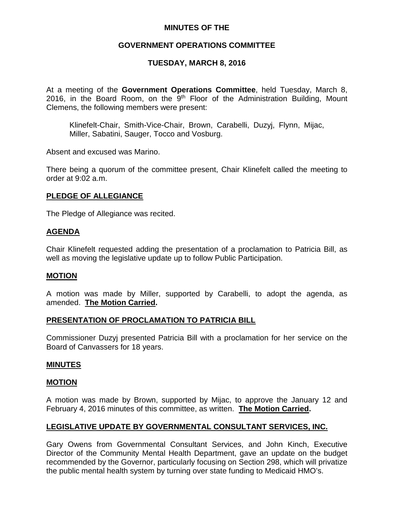## **MINUTES OF THE**

## **GOVERNMENT OPERATIONS COMMITTEE**

## **TUESDAY, MARCH 8, 2016**

At a meeting of the **Government Operations Committee**, held Tuesday, March 8, 2016, in the Board Room, on the  $9<sup>th</sup>$  Floor of the Administration Building, Mount Clemens, the following members were present:

Klinefelt-Chair, Smith-Vice-Chair, Brown, Carabelli, Duzyj, Flynn, Mijac, Miller, Sabatini, Sauger, Tocco and Vosburg.

Absent and excused was Marino.

There being a quorum of the committee present, Chair Klinefelt called the meeting to order at 9:02 a.m.

### **PLEDGE OF ALLEGIANCE**

The Pledge of Allegiance was recited.

## **AGENDA**

Chair Klinefelt requested adding the presentation of a proclamation to Patricia Bill, as well as moving the legislative update up to follow Public Participation.

### **MOTION**

A motion was made by Miller, supported by Carabelli, to adopt the agenda, as amended. **The Motion Carried.**

### **PRESENTATION OF PROCLAMATION TO PATRICIA BILL**

Commissioner Duzyj presented Patricia Bill with a proclamation for her service on the Board of Canvassers for 18 years.

### **MINUTES**

#### **MOTION**

A motion was made by Brown, supported by Mijac, to approve the January 12 and February 4, 2016 minutes of this committee, as written. **The Motion Carried.**

## **LEGISLATIVE UPDATE BY GOVERNMENTAL CONSULTANT SERVICES, INC.**

Gary Owens from Governmental Consultant Services, and John Kinch, Executive Director of the Community Mental Health Department, gave an update on the budget recommended by the Governor, particularly focusing on Section 298, which will privatize the public mental health system by turning over state funding to Medicaid HMO's.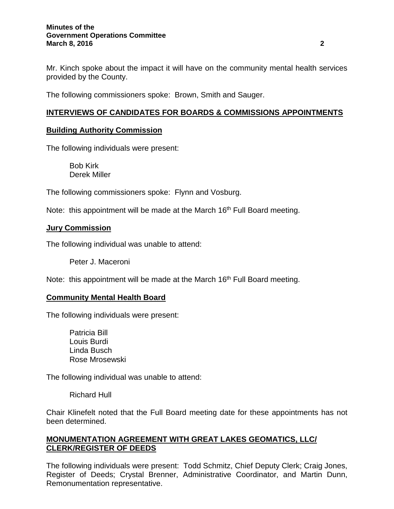#### **Minutes of the Government Operations Committee March 8, 2016 2**

Mr. Kinch spoke about the impact it will have on the community mental health services provided by the County.

The following commissioners spoke: Brown, Smith and Sauger.

# **INTERVIEWS OF CANDIDATES FOR BOARDS & COMMISSIONS APPOINTMENTS**

## **Building Authority Commission**

The following individuals were present:

Bob Kirk Derek Miller

The following commissioners spoke: Flynn and Vosburg.

Note: this appointment will be made at the March 16<sup>th</sup> Full Board meeting.

## **Jury Commission**

The following individual was unable to attend:

Peter J. Maceroni

Note: this appointment will be made at the March 16<sup>th</sup> Full Board meeting.

### **Community Mental Health Board**

The following individuals were present:

Patricia Bill Louis Burdi Linda Busch Rose Mrosewski

The following individual was unable to attend:

Richard Hull

Chair Klinefelt noted that the Full Board meeting date for these appointments has not been determined.

## **MONUMENTATION AGREEMENT WITH GREAT LAKES GEOMATICS, LLC/ CLERK/REGISTER OF DEEDS**

The following individuals were present: Todd Schmitz, Chief Deputy Clerk; Craig Jones, Register of Deeds; Crystal Brenner, Administrative Coordinator, and Martin Dunn, Remonumentation representative.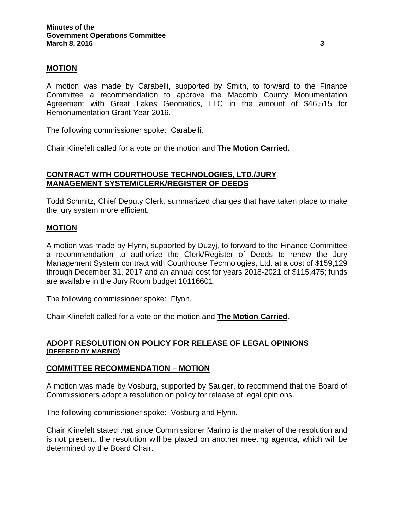### **MOTION**

A motion was made by Carabelli, supported by Smith, to forward to the Finance Committee a recommendation to approve the Macomb County Monumentation Agreement with Great Lakes Geomatics, LLC in the amount of \$46,515 for Remonumentation Grant Year 2016.

The following commissioner spoke: Carabelli.

Chair Klinefelt called for a vote on the motion and **The Motion Carried.**

## **CONTRACT WITH COURTHOUSE TECHNOLOGIES, LTD./JURY MANAGEMENT SYSTEM/CLERK/REGISTER OF DEEDS**

Todd Schmitz, Chief Deputy Clerk, summarized changes that have taken place to make the jury system more efficient.

### **MOTION**

A motion was made by Flynn, supported by Duzyj, to forward to the Finance Committee a recommendation to authorize the Clerk/Register of Deeds to renew the Jury Management System contract with Courthouse Technologies, Ltd. at a cost of \$159,129 through December 31, 2017 and an annual cost for years 2018-2021 of \$115,475; funds are available in the Jury Room budget 10116601.

The following commissioner spoke: Flynn.

Chair Klinefelt called for a vote on the motion and **The Motion Carried.**

### **ADOPT RESOLUTION ON POLICY FOR RELEASE OF LEGAL OPINIONS (OFFERED BY MARINO)**

### **COMMITTEE RECOMMENDATION – MOTION**

A motion was made by Vosburg, supported by Sauger, to recommend that the Board of Commissioners adopt a resolution on policy for release of legal opinions.

The following commissioner spoke: Vosburg and Flynn.

Chair Klinefelt stated that since Commissioner Marino is the maker of the resolution and is not present, the resolution will be placed on another meeting agenda, which will be determined by the Board Chair.